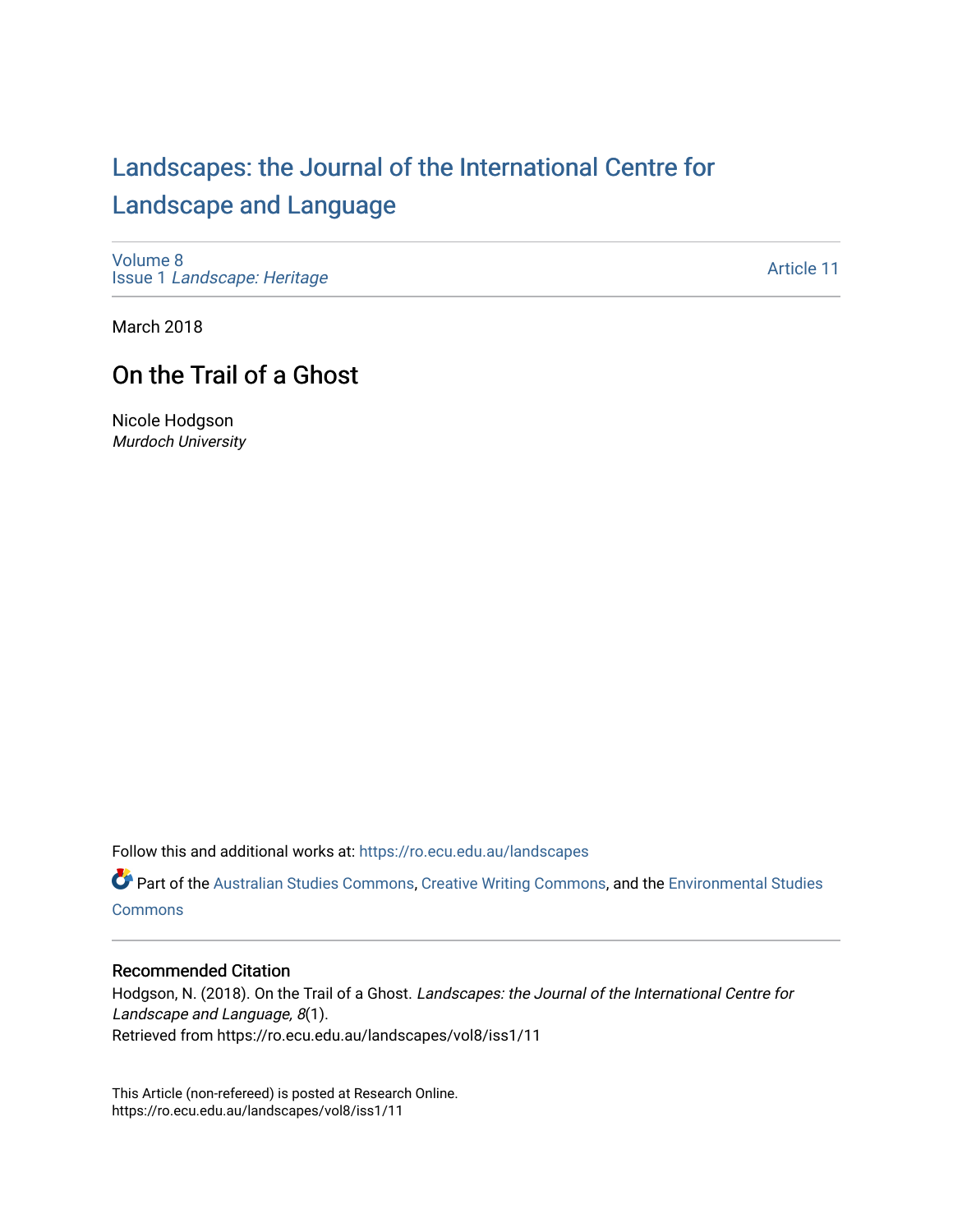# [Landscapes: the Journal of the International Centre for](https://ro.ecu.edu.au/landscapes) [Landscape and Language](https://ro.ecu.edu.au/landscapes)

[Volume 8](https://ro.ecu.edu.au/landscapes/vol8) Issue 1 [Landscape: Heritage](https://ro.ecu.edu.au/landscapes/vol8/iss1)

[Article 11](https://ro.ecu.edu.au/landscapes/vol8/iss1/11) 

March 2018

## On the Trail of a Ghost

Nicole Hodgson Murdoch University

Follow this and additional works at: [https://ro.ecu.edu.au/landscapes](https://ro.ecu.edu.au/landscapes?utm_source=ro.ecu.edu.au%2Flandscapes%2Fvol8%2Fiss1%2F11&utm_medium=PDF&utm_campaign=PDFCoverPages) 

Part of the [Australian Studies Commons](http://network.bepress.com/hgg/discipline/1020?utm_source=ro.ecu.edu.au%2Flandscapes%2Fvol8%2Fiss1%2F11&utm_medium=PDF&utm_campaign=PDFCoverPages), [Creative Writing Commons,](http://network.bepress.com/hgg/discipline/574?utm_source=ro.ecu.edu.au%2Flandscapes%2Fvol8%2Fiss1%2F11&utm_medium=PDF&utm_campaign=PDFCoverPages) and the [Environmental Studies](http://network.bepress.com/hgg/discipline/1333?utm_source=ro.ecu.edu.au%2Flandscapes%2Fvol8%2Fiss1%2F11&utm_medium=PDF&utm_campaign=PDFCoverPages)  **[Commons](http://network.bepress.com/hgg/discipline/1333?utm_source=ro.ecu.edu.au%2Flandscapes%2Fvol8%2Fiss1%2F11&utm_medium=PDF&utm_campaign=PDFCoverPages)** 

#### Recommended Citation

Hodgson, N. (2018). On the Trail of a Ghost. Landscapes: the Journal of the International Centre for Landscape and Language, 8(1). Retrieved from https://ro.ecu.edu.au/landscapes/vol8/iss1/11

This Article (non-refereed) is posted at Research Online. https://ro.ecu.edu.au/landscapes/vol8/iss1/11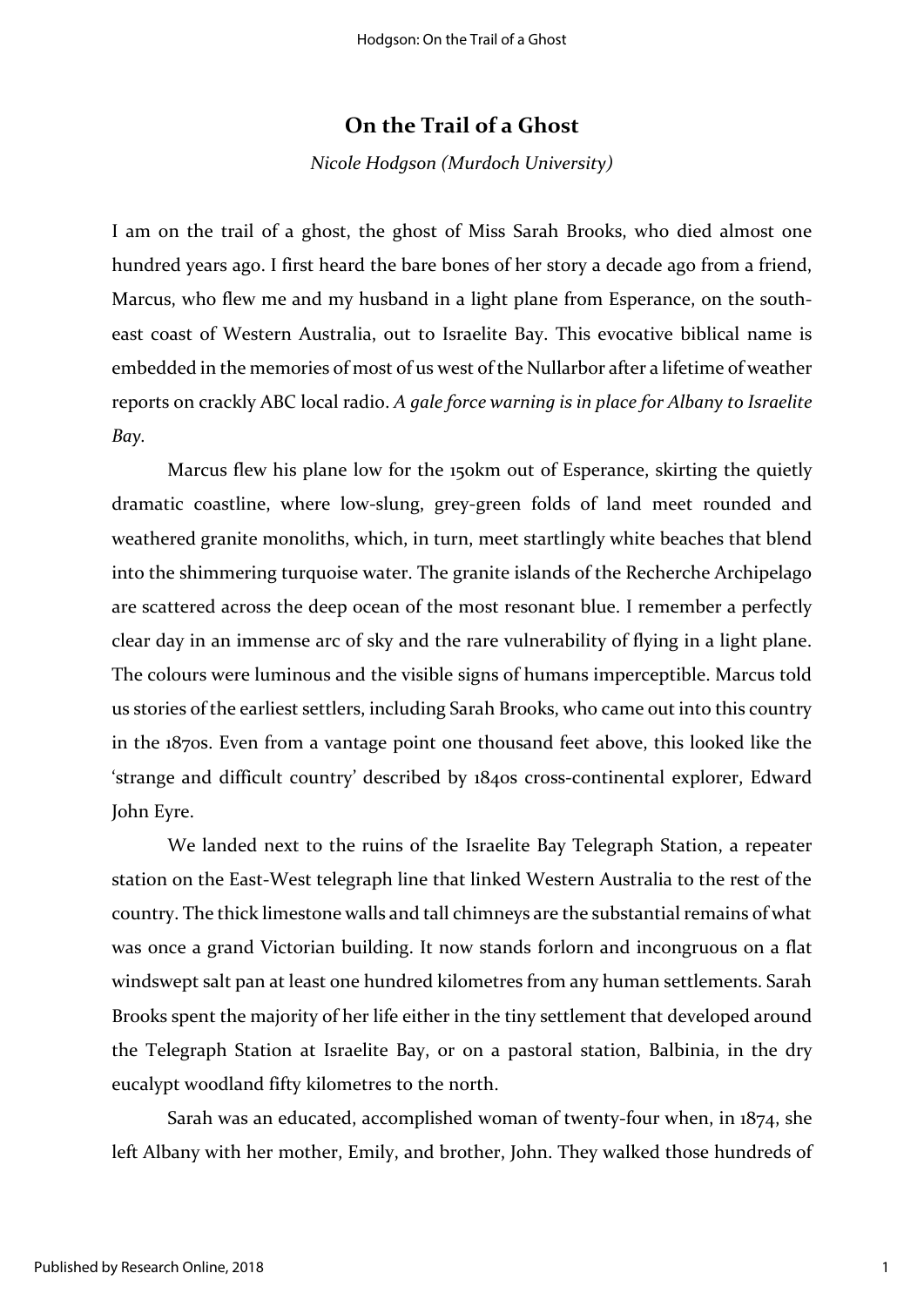### **On the Trail of a Ghost**

*Nicole Hodgson (Murdoch University)*

I am on the trail of a ghost, the ghost of Miss Sarah Brooks, who died almost one hundred years ago. I first heard the bare bones of her story a decade ago from a friend, Marcus, who flew me and my husband in a light plane from Esperance, on the southeast coast of Western Australia, out to Israelite Bay. This evocative biblical name is embedded in the memories of most of us west of the Nullarbor after a lifetime of weather reports on crackly ABC local radio. *A gale force warning is in place for Albany to Israelite Bay.*

Marcus flew his plane low for the 150km out of Esperance, skirting the quietly dramatic coastline, where low-slung, grey-green folds of land meet rounded and weathered granite monoliths, which, in turn, meet startlingly white beaches that blend into the shimmering turquoise water. The granite islands of the Recherche Archipelago are scattered across the deep ocean of the most resonant blue. I remember a perfectly clear day in an immense arc of sky and the rare vulnerability of flying in a light plane. The colours were luminous and the visible signs of humans imperceptible. Marcus told us stories of the earliest settlers, including Sarah Brooks, who came out into this country in the 1870s. Even from a vantage point one thousand feet above, this looked like the 'strange and difficult country' described by 1840s cross-continental explorer, Edward John Eyre.

We landed next to the ruins of the Israelite Bay Telegraph Station, a repeater station on the East-West telegraph line that linked Western Australia to the rest of the country. The thick limestone walls and tall chimneys are the substantial remains of what was once a grand Victorian building. It now stands forlorn and incongruous on a flat windswept salt pan at least one hundred kilometres from any human settlements. Sarah Brooks spent the majority of her life either in the tiny settlement that developed around the Telegraph Station at Israelite Bay, or on a pastoral station, Balbinia, in the dry eucalypt woodland fifty kilometres to the north.

Sarah was an educated, accomplished woman of twenty-four when, in 1874, she left Albany with her mother, Emily, and brother, John. They walked those hundreds of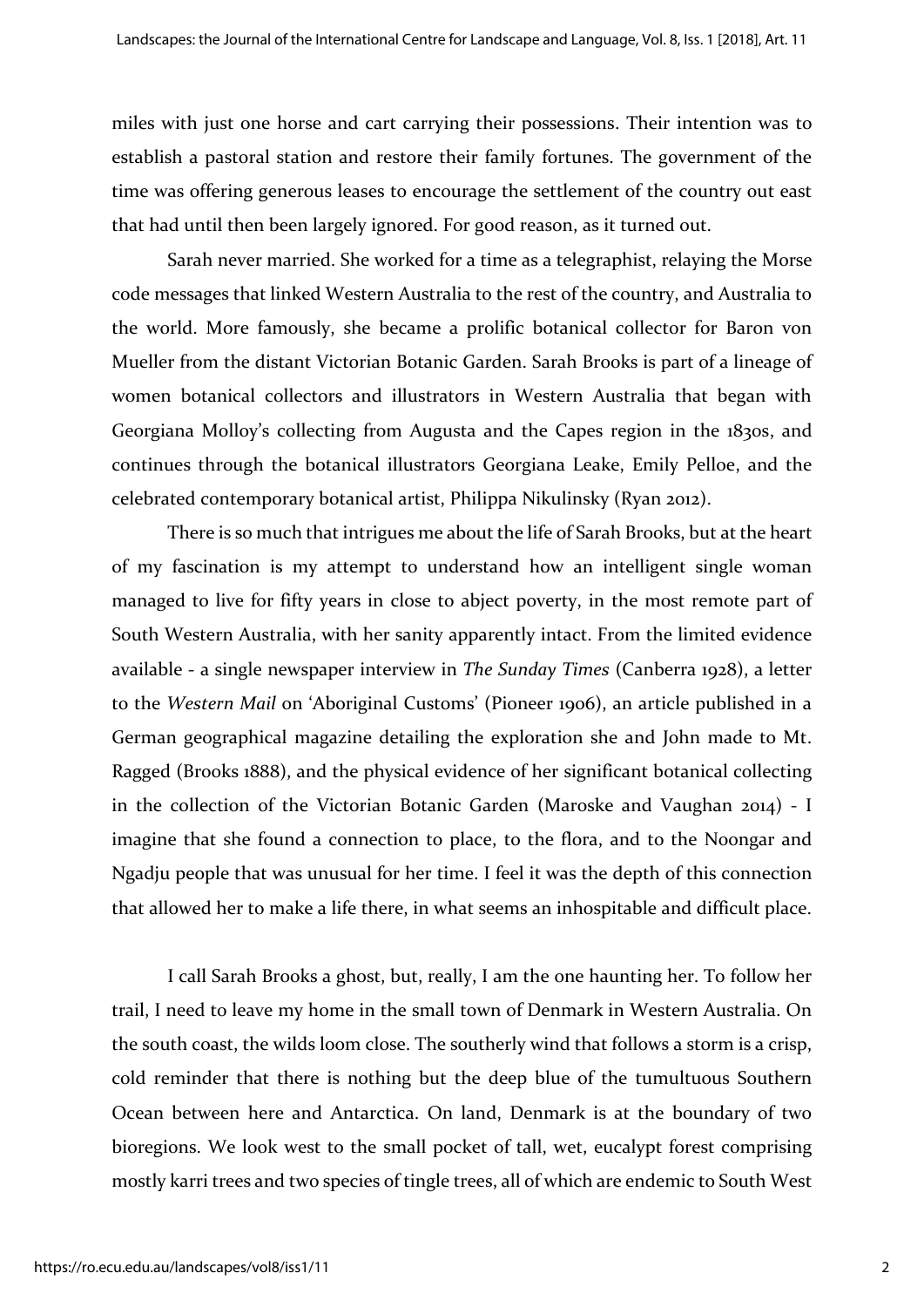miles with just one horse and cart carrying their possessions. Their intention was to establish a pastoral station and restore their family fortunes. The government of the time was offering generous leases to encourage the settlement of the country out east that had until then been largely ignored. For good reason, as it turned out.

Sarah never married. She worked for a time as a telegraphist, relaying the Morse code messages that linked Western Australia to the rest of the country, and Australia to the world. More famously, she became a prolific botanical collector for Baron von Mueller from the distant Victorian Botanic Garden. Sarah Brooks is part of a lineage of women botanical collectors and illustrators in Western Australia that began with Georgiana Molloy's collecting from Augusta and the Capes region in the 1830s, and continues through the botanical illustrators Georgiana Leake, Emily Pelloe, and the celebrated contemporary botanical artist, Philippa Nikulinsky (Ryan 2012).

There is so much that intrigues me about the life of Sarah Brooks, but at the heart of my fascination is my attempt to understand how an intelligent single woman managed to live for fifty years in close to abject poverty, in the most remote part of South Western Australia, with her sanity apparently intact. From the limited evidence available - a single newspaper interview in *The Sunday Times* (Canberra 1928), a letter to the *Western Mail* on 'Aboriginal Customs' (Pioneer 1906), an article published in a German geographical magazine detailing the exploration she and John made to Mt. Ragged (Brooks 1888), and the physical evidence of her significant botanical collecting in the collection of the Victorian Botanic Garden (Maroske and Vaughan 2014) - I imagine that she found a connection to place, to the flora, and to the Noongar and Ngadju people that was unusual for her time. I feel it was the depth of this connection that allowed her to make a life there, in what seems an inhospitable and difficult place.

I call Sarah Brooks a ghost, but, really, I am the one haunting her. To follow her trail, I need to leave my home in the small town of Denmark in Western Australia. On the south coast, the wilds loom close. The southerly wind that follows a storm is a crisp, cold reminder that there is nothing but the deep blue of the tumultuous Southern Ocean between here and Antarctica. On land, Denmark is at the boundary of two bioregions. We look west to the small pocket of tall, wet, eucalypt forest comprising mostly karri trees and two species of tingle trees, all of which are endemic to South West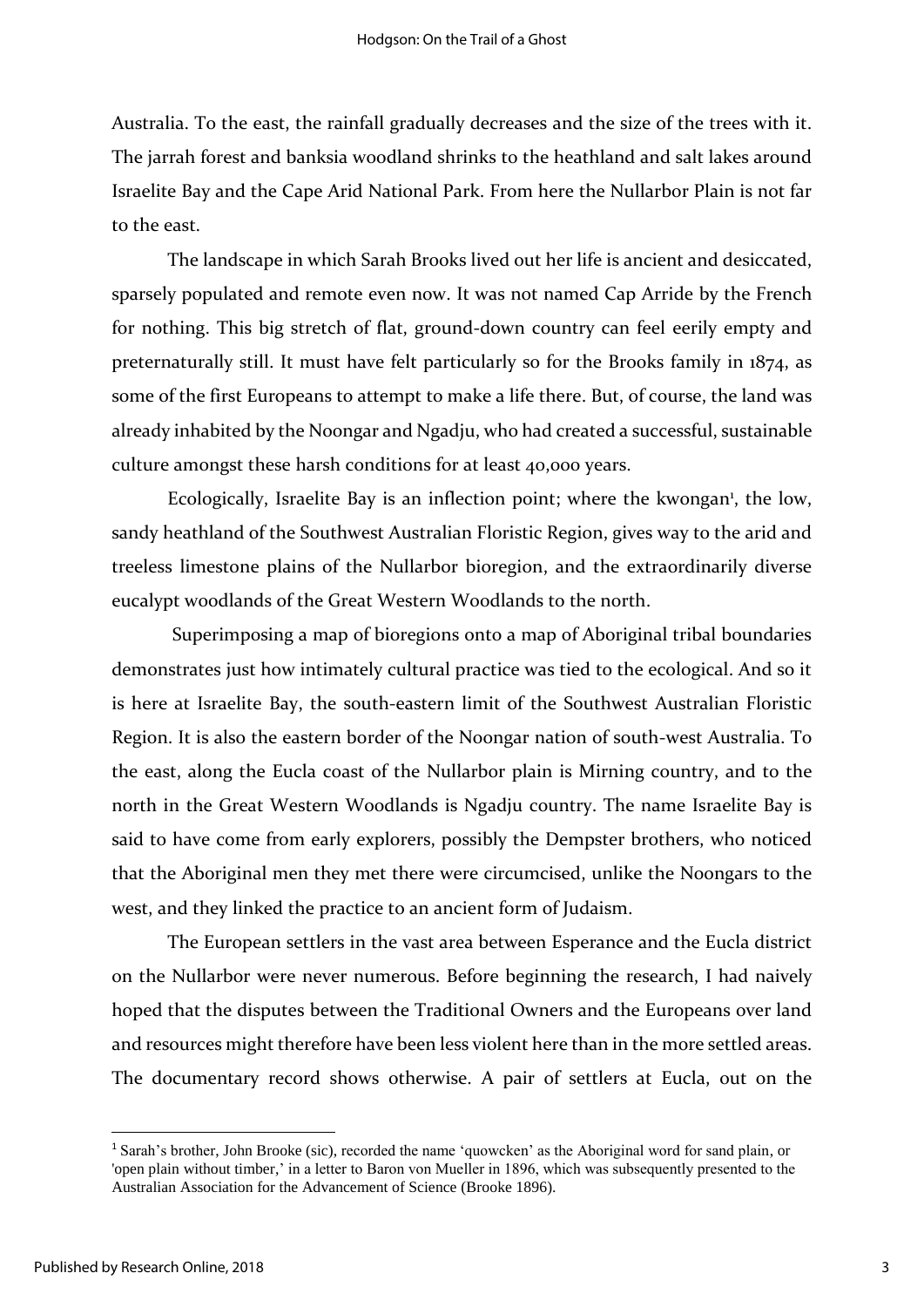Australia. To the east, the rainfall gradually decreases and the size of the trees with it. The jarrah forest and banksia woodland shrinks to the heathland and salt lakes around Israelite Bay and the Cape Arid National Park. From here the Nullarbor Plain is not far to the east.

The landscape in which Sarah Brooks lived out her life is ancient and desiccated, sparsely populated and remote even now. It was not named Cap Arride by the French for nothing. This big stretch of flat, ground-down country can feel eerily empty and preternaturally still. It must have felt particularly so for the Brooks family in 1874, as some of the first Europeans to attempt to make a life there. But, of course, the land was already inhabited by the Noongar and Ngadju, who had created a successful, sustainable culture amongst these harsh conditions for at least 40,000 years.

Ecologically, Israelite Bay is an inflection point; where the kwongan<sup>1</sup>, the low, sandy heathland of the Southwest Australian Floristic Region, gives way to the arid and treeless limestone plains of the Nullarbor bioregion, and the extraordinarily diverse eucalypt woodlands of the Great Western Woodlands to the north.

Superimposing a map of bioregions onto a map of Aboriginal tribal boundaries demonstrates just how intimately cultural practice was tied to the ecological. And so it is here at Israelite Bay, the south-eastern limit of the Southwest Australian Floristic Region. It is also the eastern border of the Noongar nation of south-west Australia. To the east, along the Eucla coast of the Nullarbor plain is Mirning country, and to the north in the Great Western Woodlands is Ngadju country. The name Israelite Bay is said to have come from early explorers, possibly the Dempster brothers, who noticed that the Aboriginal men they met there were circumcised, unlike the Noongars to the west, and they linked the practice to an ancient form of Judaism.

The European settlers in the vast area between Esperance and the Eucla district on the Nullarbor were never numerous. Before beginning the research, I had naively hoped that the disputes between the Traditional Owners and the Europeans over land and resources might therefore have been less violent here than in the more settled areas. The documentary record shows otherwise. A pair of settlers at Eucla, out on the

**.** 

<sup>1</sup> Sarah's brother, John Brooke (sic), recorded the name 'quowcken' as the Aboriginal word for sand plain, or 'open plain without timber,' in a letter to Baron von Mueller in 1896, which was subsequently presented to the Australian Association for the Advancement of Science (Brooke 1896).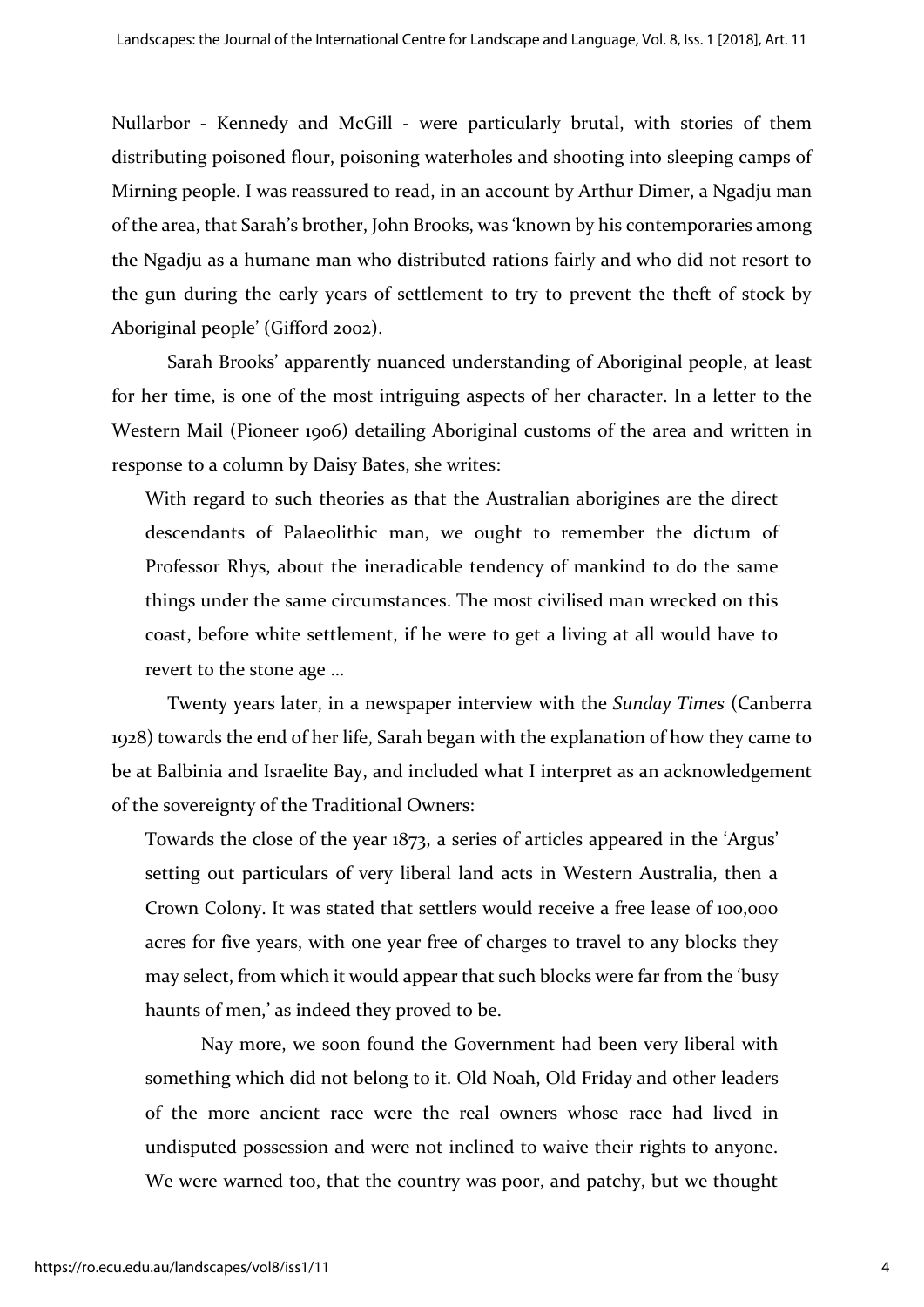Nullarbor - Kennedy and McGill - were particularly brutal, with stories of them distributing poisoned flour, poisoning waterholes and shooting into sleeping camps of Mirning people. I was reassured to read, in an account by Arthur Dimer, a Ngadju man of the area, that Sarah's brother, John Brooks, was 'known by his contemporaries among the Ngadju as a humane man who distributed rations fairly and who did not resort to the gun during the early years of settlement to try to prevent the theft of stock by Aboriginal people' (Gifford 2002).

Sarah Brooks' apparently nuanced understanding of Aboriginal people, at least for her time, is one of the most intriguing aspects of her character. In a letter to the Western Mail (Pioneer 1906) detailing Aboriginal customs of the area and written in response to a column by Daisy Bates, she writes:

With regard to such theories as that the Australian aborigines are the direct descendants of Palaeolithic man, we ought to remember the dictum of Professor Rhys, about the ineradicable tendency of mankind to do the same things under the same circumstances. The most civilised man wrecked on this coast, before white settlement, if he were to get a living at all would have to revert to the stone age …

Twenty years later, in a newspaper interview with the *Sunday Times* (Canberra 1928) towards the end of her life, Sarah began with the explanation of how they came to be at Balbinia and Israelite Bay, and included what I interpret as an acknowledgement of the sovereignty of the Traditional Owners:

Towards the close of the year 1873, a series of articles appeared in the 'Argus' setting out particulars of very liberal land acts in Western Australia, then a Crown Colony. It was stated that settlers would receive a free lease of 100,000 acres for five years, with one year free of charges to travel to any blocks they may select, from which it would appear that such blocks were far from the 'busy haunts of men,' as indeed they proved to be.

Nay more, we soon found the Government had been very liberal with something which did not belong to it. Old Noah, Old Friday and other leaders of the more ancient race were the real owners whose race had lived in undisputed possession and were not inclined to waive their rights to anyone. We were warned too, that the country was poor, and patchy, but we thought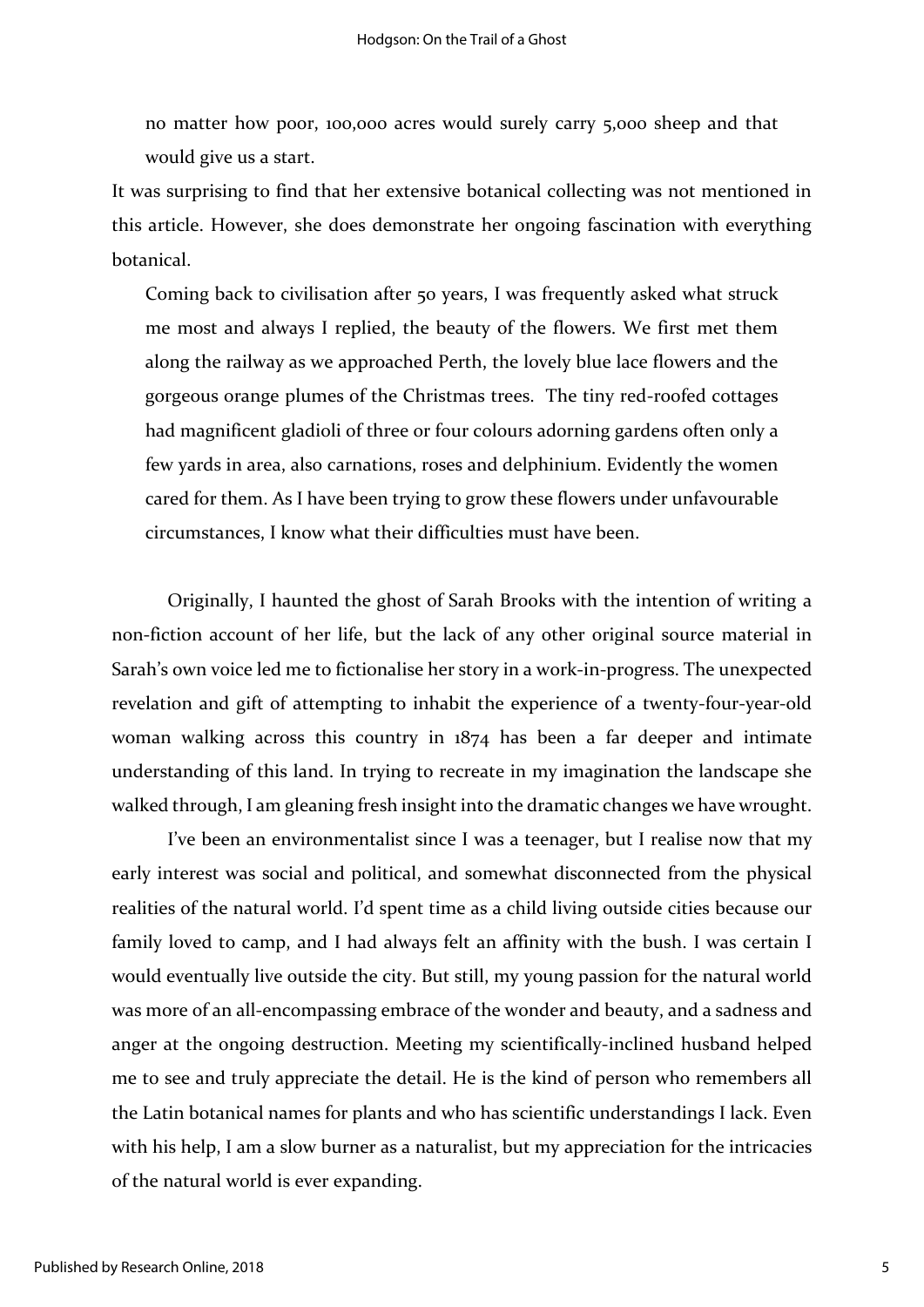no matter how poor, 100,000 acres would surely carry 5,000 sheep and that would give us a start.

It was surprising to find that her extensive botanical collecting was not mentioned in this article. However, she does demonstrate her ongoing fascination with everything botanical.

Coming back to civilisation after 50 years, I was frequently asked what struck me most and always I replied, the beauty of the flowers. We first met them along the railway as we approached Perth, the lovely blue lace flowers and the gorgeous orange plumes of the Christmas trees. The tiny red-roofed cottages had magnificent gladioli of three or four colours adorning gardens often only a few yards in area, also carnations, roses and delphinium. Evidently the women cared for them. As I have been trying to grow these flowers under unfavourable circumstances, I know what their difficulties must have been.

Originally, I haunted the ghost of Sarah Brooks with the intention of writing a non-fiction account of her life, but the lack of any other original source material in Sarah's own voice led me to fictionalise her story in a work-in-progress. The unexpected revelation and gift of attempting to inhabit the experience of a twenty-four-year-old woman walking across this country in 1874 has been a far deeper and intimate understanding of this land. In trying to recreate in my imagination the landscape she walked through, I am gleaning fresh insight into the dramatic changes we have wrought.

I've been an environmentalist since I was a teenager, but I realise now that my early interest was social and political, and somewhat disconnected from the physical realities of the natural world. I'd spent time as a child living outside cities because our family loved to camp, and I had always felt an affinity with the bush. I was certain I would eventually live outside the city. But still, my young passion for the natural world was more of an all-encompassing embrace of the wonder and beauty, and a sadness and anger at the ongoing destruction. Meeting my scientifically-inclined husband helped me to see and truly appreciate the detail. He is the kind of person who remembers all the Latin botanical names for plants and who has scientific understandings I lack. Even with his help, I am a slow burner as a naturalist, but my appreciation for the intricacies of the natural world is ever expanding.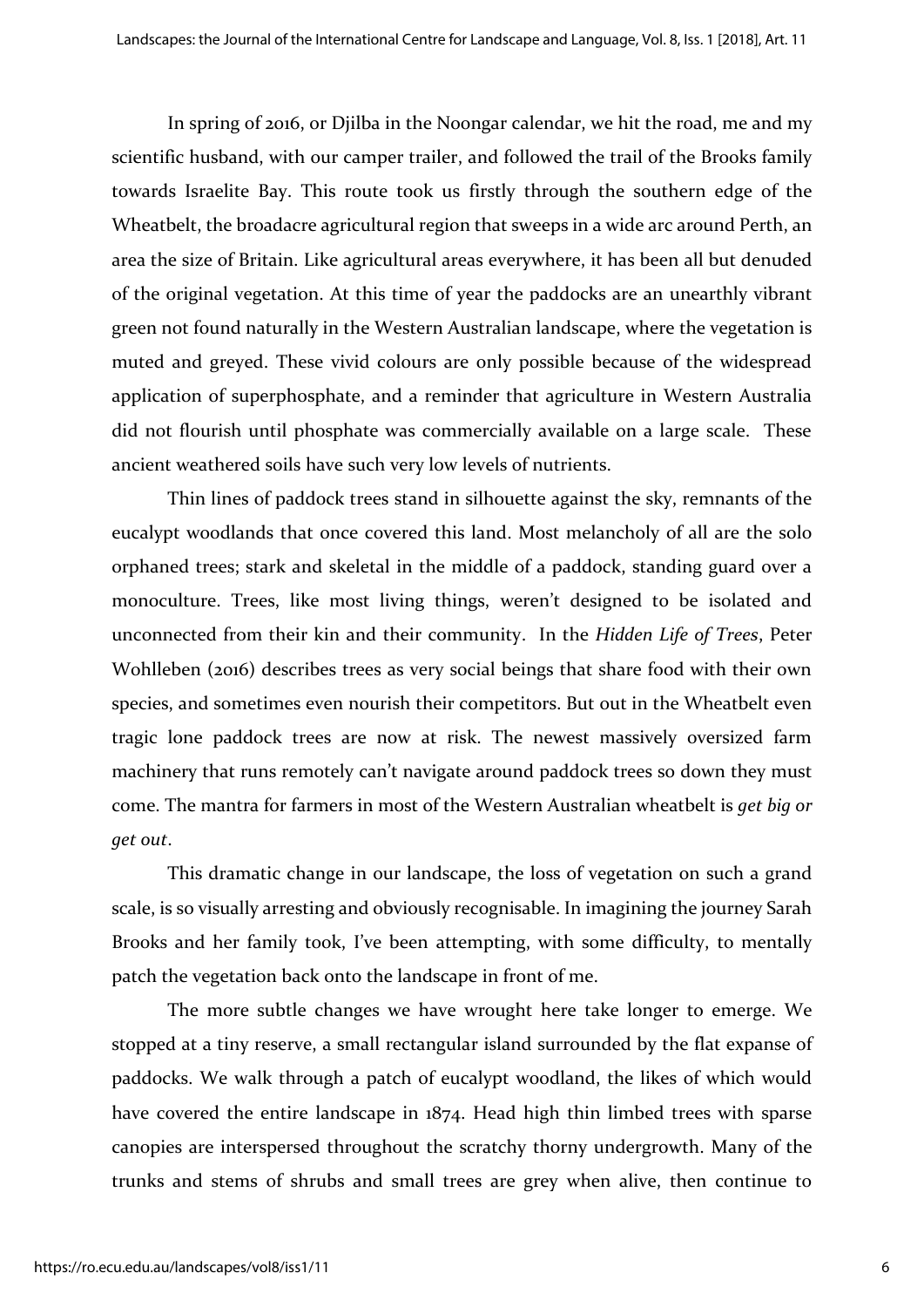In spring of 2016, or Djilba in the Noongar calendar, we hit the road, me and my scientific husband, with our camper trailer, and followed the trail of the Brooks family towards Israelite Bay. This route took us firstly through the southern edge of the Wheatbelt, the broadacre agricultural region that sweeps in a wide arc around Perth, an area the size of Britain. Like agricultural areas everywhere, it has been all but denuded of the original vegetation. At this time of year the paddocks are an unearthly vibrant green not found naturally in the Western Australian landscape, where the vegetation is muted and greyed. These vivid colours are only possible because of the widespread application of superphosphate, and a reminder that agriculture in Western Australia did not flourish until phosphate was commercially available on a large scale. These ancient weathered soils have such very low levels of nutrients.

Thin lines of paddock trees stand in silhouette against the sky, remnants of the eucalypt woodlands that once covered this land. Most melancholy of all are the solo orphaned trees; stark and skeletal in the middle of a paddock, standing guard over a monoculture. Trees, like most living things, weren't designed to be isolated and unconnected from their kin and their community. In the *Hidden Life of Trees*, Peter Wohlleben (2016) describes trees as very social beings that share food with their own species, and sometimes even nourish their competitors. But out in the Wheatbelt even tragic lone paddock trees are now at risk. The newest massively oversized farm machinery that runs remotely can't navigate around paddock trees so down they must come. The mantra for farmers in most of the Western Australian wheatbelt is *get big or get out*.

This dramatic change in our landscape, the loss of vegetation on such a grand scale, is so visually arresting and obviously recognisable. In imagining the journey Sarah Brooks and her family took, I've been attempting, with some difficulty, to mentally patch the vegetation back onto the landscape in front of me.

The more subtle changes we have wrought here take longer to emerge. We stopped at a tiny reserve, a small rectangular island surrounded by the flat expanse of paddocks. We walk through a patch of eucalypt woodland, the likes of which would have covered the entire landscape in 1874. Head high thin limbed trees with sparse canopies are interspersed throughout the scratchy thorny undergrowth. Many of the trunks and stems of shrubs and small trees are grey when alive, then continue to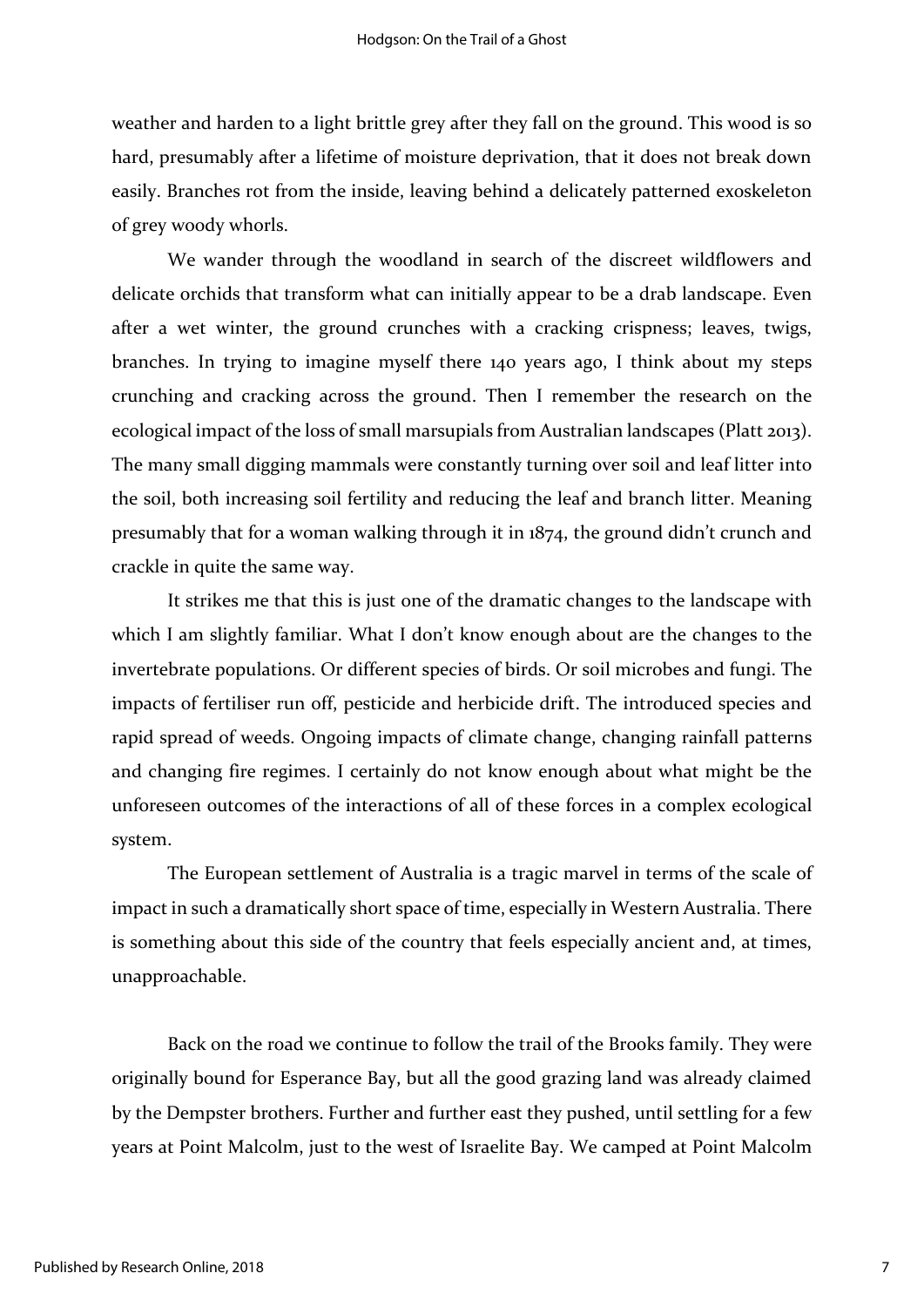weather and harden to a light brittle grey after they fall on the ground. This wood is so hard, presumably after a lifetime of moisture deprivation, that it does not break down easily. Branches rot from the inside, leaving behind a delicately patterned exoskeleton of grey woody whorls.

We wander through the woodland in search of the discreet wildflowers and delicate orchids that transform what can initially appear to be a drab landscape. Even after a wet winter, the ground crunches with a cracking crispness; leaves, twigs, branches. In trying to imagine myself there 140 years ago, I think about my steps crunching and cracking across the ground. Then I remember the research on the ecological impact of the loss of small marsupials from Australian landscapes (Platt 2013). The many small digging mammals were constantly turning over soil and leaf litter into the soil, both increasing soil fertility and reducing the leaf and branch litter. Meaning presumably that for a woman walking through it in 1874, the ground didn't crunch and crackle in quite the same way.

It strikes me that this is just one of the dramatic changes to the landscape with which I am slightly familiar. What I don't know enough about are the changes to the invertebrate populations. Or different species of birds. Or soil microbes and fungi. The impacts of fertiliser run off, pesticide and herbicide drift. The introduced species and rapid spread of weeds. Ongoing impacts of climate change, changing rainfall patterns and changing fire regimes. I certainly do not know enough about what might be the unforeseen outcomes of the interactions of all of these forces in a complex ecological system.

The European settlement of Australia is a tragic marvel in terms of the scale of impact in such a dramatically short space of time, especially in Western Australia. There is something about this side of the country that feels especially ancient and, at times, unapproachable.

Back on the road we continue to follow the trail of the Brooks family. They were originally bound for Esperance Bay, but all the good grazing land was already claimed by the Dempster brothers. Further and further east they pushed, until settling for a few years at Point Malcolm, just to the west of Israelite Bay. We camped at Point Malcolm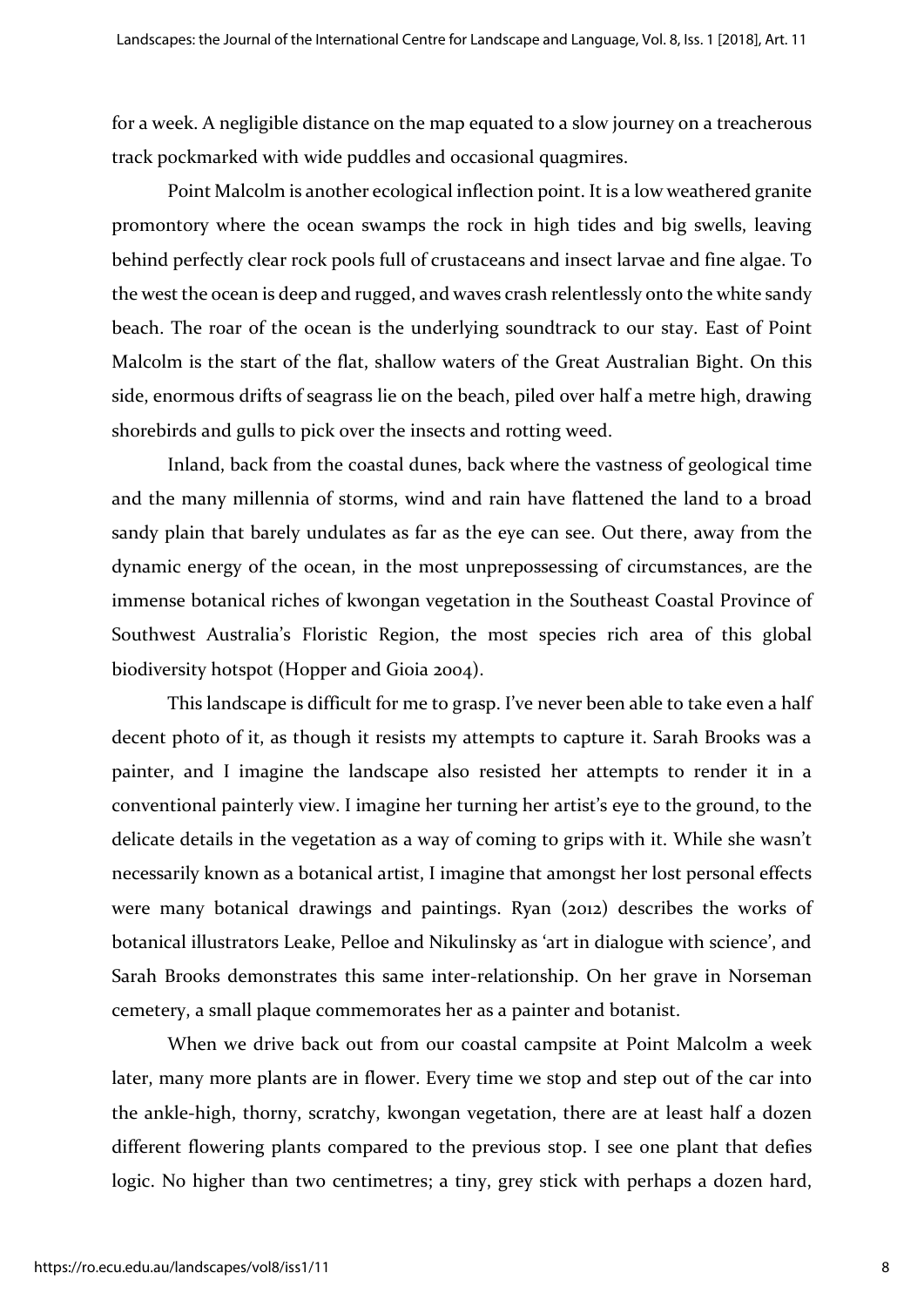for a week. A negligible distance on the map equated to a slow journey on a treacherous track pockmarked with wide puddles and occasional quagmires.

Point Malcolm is another ecological inflection point. It is a low weathered granite promontory where the ocean swamps the rock in high tides and big swells, leaving behind perfectly clear rock pools full of crustaceans and insect larvae and fine algae. To the west the ocean is deep and rugged, and waves crash relentlessly onto the white sandy beach. The roar of the ocean is the underlying soundtrack to our stay. East of Point Malcolm is the start of the flat, shallow waters of the Great Australian Bight. On this side, enormous drifts of seagrass lie on the beach, piled over half a metre high, drawing shorebirds and gulls to pick over the insects and rotting weed.

Inland, back from the coastal dunes, back where the vastness of geological time and the many millennia of storms, wind and rain have flattened the land to a broad sandy plain that barely undulates as far as the eye can see. Out there, away from the dynamic energy of the ocean, in the most unprepossessing of circumstances, are the immense botanical riches of kwongan vegetation in the Southeast Coastal Province of Southwest Australia's Floristic Region, the most species rich area of this global biodiversity hotspot (Hopper and Gioia 2004).

This landscape is difficult for me to grasp. I've never been able to take even a half decent photo of it, as though it resists my attempts to capture it. Sarah Brooks was a painter, and I imagine the landscape also resisted her attempts to render it in a conventional painterly view. I imagine her turning her artist's eye to the ground, to the delicate details in the vegetation as a way of coming to grips with it. While she wasn't necessarily known as a botanical artist, I imagine that amongst her lost personal effects were many botanical drawings and paintings. Ryan (2012) describes the works of botanical illustrators Leake, Pelloe and Nikulinsky as 'art in dialogue with science', and Sarah Brooks demonstrates this same inter-relationship. On her grave in Norseman cemetery, a small plaque commemorates her as a painter and botanist.

When we drive back out from our coastal campsite at Point Malcolm a week later, many more plants are in flower. Every time we stop and step out of the car into the ankle-high, thorny, scratchy, kwongan vegetation, there are at least half a dozen different flowering plants compared to the previous stop. I see one plant that defies logic. No higher than two centimetres; a tiny, grey stick with perhaps a dozen hard,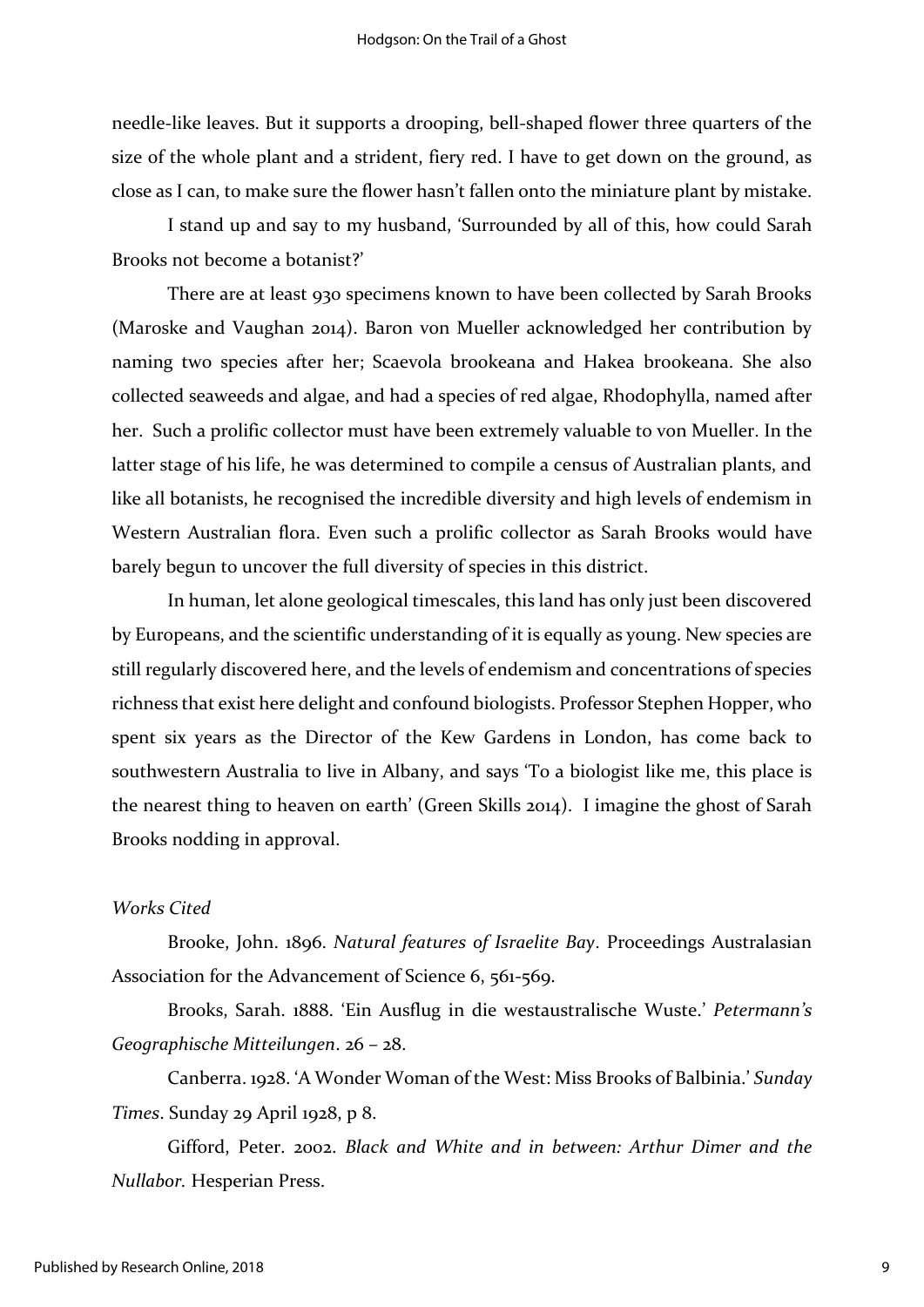needle-like leaves. But it supports a drooping, bell-shaped flower three quarters of the size of the whole plant and a strident, fiery red. I have to get down on the ground, as close as I can, to make sure the flower hasn't fallen onto the miniature plant by mistake.

I stand up and say to my husband, 'Surrounded by all of this, how could Sarah Brooks not become a botanist?'

There are at least 930 specimens known to have been collected by Sarah Brooks (Maroske and Vaughan 2014). Baron von Mueller acknowledged her contribution by naming two species after her; Scaevola brookeana and Hakea brookeana. She also collected seaweeds and algae, and had a species of red algae, Rhodophylla, named after her. Such a prolific collector must have been extremely valuable to von Mueller. In the latter stage of his life, he was determined to compile a census of Australian plants, and like all botanists, he recognised the incredible diversity and high levels of endemism in Western Australian flora. Even such a prolific collector as Sarah Brooks would have barely begun to uncover the full diversity of species in this district.

In human, let alone geological timescales, this land has only just been discovered by Europeans, and the scientific understanding of it is equally as young. New species are still regularly discovered here, and the levels of endemism and concentrations of species richness that exist here delight and confound biologists. Professor Stephen Hopper, who spent six years as the Director of the Kew Gardens in London, has come back to southwestern Australia to live in Albany, and says 'To a biologist like me, this place is the nearest thing to heaven on earth' (Green Skills 2014). I imagine the ghost of Sarah Brooks nodding in approval.

#### *Works Cited*

Brooke, John. 1896. *Natural features of Israelite Bay*. Proceedings Australasian Association for the Advancement of Science 6, 561-569.

Brooks, Sarah. 1888. 'Ein Ausflug in die westaustralische Wuste.' *Petermann's Geographische Mitteilungen*. 26 – 28.

Canberra. 1928. 'A Wonder Woman of the West: Miss Brooks of Balbinia.' *Sunday Times*. Sunday 29 April 1928, p 8.

Gifford, Peter. 2002. *Black and White and in between: Arthur Dimer and the Nullabor.* Hesperian Press.